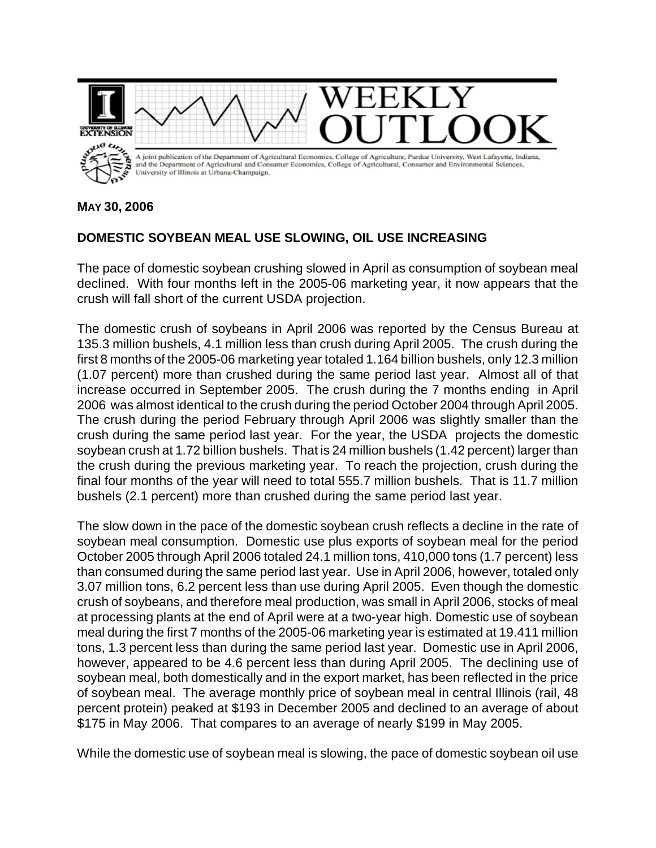

**MAY 30, 2006**

## **DOMESTIC SOYBEAN MEAL USE SLOWING, OIL USE INCREASING**

The pace of domestic soybean crushing slowed in April as consumption of soybean meal declined. With four months left in the 2005-06 marketing year, it now appears that the crush will fall short of the current USDA projection.

The domestic crush of soybeans in April 2006 was reported by the Census Bureau at 135.3 million bushels, 4.1 million less than crush during April 2005. The crush during the first 8 months of the 2005-06 marketing year totaled 1.164 billion bushels, only 12.3 million (1.07 percent) more than crushed during the same period last year. Almost all of that increase occurred in September 2005. The crush during the 7 months ending in April 2006 was almost identical to the crush during the period October 2004 through April 2005. The crush during the period February through April 2006 was slightly smaller than the crush during the same period last year. For the year, the USDA projects the domestic soybean crush at 1.72 billion bushels. That is 24 million bushels (1.42 percent) larger than the crush during the previous marketing year. To reach the projection, crush during the final four months of the year will need to total 555.7 million bushels. That is 11.7 million bushels (2.1 percent) more than crushed during the same period last year.

The slow down in the pace of the domestic soybean crush reflects a decline in the rate of soybean meal consumption. Domestic use plus exports of soybean meal for the period October 2005 through April 2006 totaled 24.1 million tons, 410,000 tons (1.7 percent) less than consumed during the same period last year. Use in April 2006, however, totaled only 3.07 million tons, 6.2 percent less than use during April 2005. Even though the domestic crush of soybeans, and therefore meal production, was small in April 2006, stocks of meal at processing plants at the end of April were at a two-year high. Domestic use of soybean meal during the first 7 months of the 2005-06 marketing year is estimated at 19.411 million tons, 1.3 percent less than during the same period last year. Domestic use in April 2006, however, appeared to be 4.6 percent less than during April 2005. The declining use of soybean meal, both domestically and in the export market, has been reflected in the price of soybean meal. The average monthly price of soybean meal in central Illinois (rail, 48 percent protein) peaked at \$193 in December 2005 and declined to an average of about \$175 in May 2006. That compares to an average of nearly \$199 in May 2005.

While the domestic use of soybean meal is slowing, the pace of domestic soybean oil use